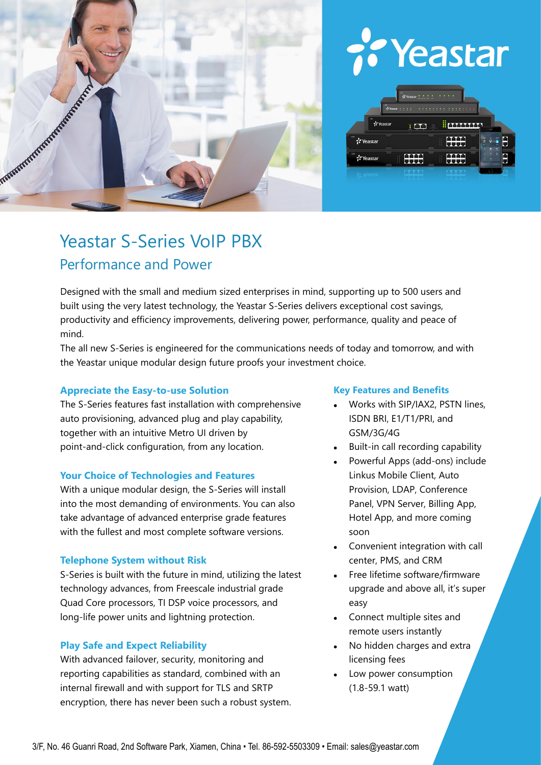

# Yeastar



# Yeastar S-Series VoIP PBX Performance and Power

Designed with the small and medium sized enterprises in mind, supporting up to 500 users and built using the very latest technology, the Yeastar S-Series delivers exceptional cost savings, productivity and efficiency improvements, delivering power, performance, quality and peace of mind.

The all new S-Series is engineered for the communications needs of today and tomorrow, and with the Yeastar unique modular design future proofs your investment choice.

### **Appreciate the Easy-to-use Solution**

The S-Series features fast installation with comprehensive auto provisioning, advanced plug and play capability, together with an intuitive Metro UI driven by point-and-click configuration, from any location.

#### **Your Choice of Technologies and Features**

With a unique modular design, the S-Series will install into the most demanding of environments. You can also take advantage of advanced enterprise grade features with the fullest and most complete software versions.

#### **Telephone System without Risk**

S-Series is built with the future in mind, utilizing the latest technology advances, from Freescale industrial grade Quad Core processors, TI DSP voice processors, and long-life power units and lightning protection.

#### **Play Safe and Expect Reliability**

With advanced failover, security, monitoring and reporting capabilities as standard, combined with an internal firewall and with support for TLS and SRTP encryption, there has never been such a robust system.

#### **Key Features and Benefits**

- Works with SIP/IAX2, PSTN lines, ISDN BRI, E1/T1/PRI, and GSM/3G/4G
- Built-in call recording capability
- Powerful Apps (add-ons) include Linkus Mobile Client, Auto Provision, LDAP, Conference Panel, VPN Server, Billing App, Hotel App, and more coming soon
- Convenient integration with call center, PMS, and CRM
- Free lifetime software/firmware upgrade and above all, it's super easy
- Connect multiple sites and remote users instantly
- No hidden charges and extra licensing fees
- Low power consumption (1.8-59.1 watt)